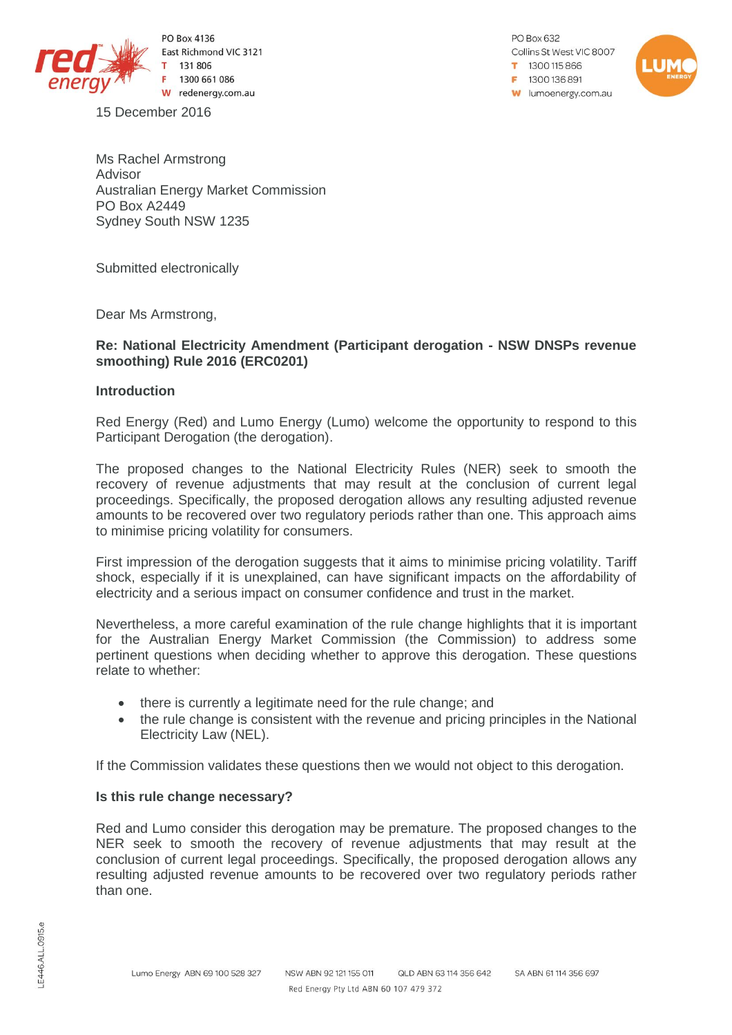

PO Box 4136 East Richmond VIC 3121 131806 1300 661 086 W redenergy.com.au

PO Box 632 Collins St West VIC 8007 1300115866  $= 1300136891$ **w** lumoenergy.com.au



Ms Rachel Armstrong Advisor Australian Energy Market Commission PO Box A2449 Sydney South NSW 1235

Submitted electronically

Dear Ms Armstrong,

15 December 2016

## **Re: National Electricity Amendment (Participant derogation - NSW DNSPs revenue smoothing) Rule 2016 (ERC0201)**

## **Introduction**

Red Energy (Red) and Lumo Energy (Lumo) welcome the opportunity to respond to this Participant Derogation (the derogation).

The proposed changes to the National Electricity Rules (NER) seek to smooth the recovery of revenue adjustments that may result at the conclusion of current legal proceedings. Specifically, the proposed derogation allows any resulting adjusted revenue amounts to be recovered over two regulatory periods rather than one. This approach aims to minimise pricing volatility for consumers.

First impression of the derogation suggests that it aims to minimise pricing volatility. Tariff shock, especially if it is unexplained, can have significant impacts on the affordability of electricity and a serious impact on consumer confidence and trust in the market.

Nevertheless, a more careful examination of the rule change highlights that it is important for the Australian Energy Market Commission (the Commission) to address some pertinent questions when deciding whether to approve this derogation. These questions relate to whether:

- there is currently a legitimate need for the rule change; and
- the rule change is consistent with the revenue and pricing principles in the National Electricity Law (NEL).

If the Commission validates these questions then we would not object to this derogation.

# **Is this rule change necessary?**

Red and Lumo consider this derogation may be premature. The proposed changes to the NER seek to smooth the recovery of revenue adjustments that may result at the conclusion of current legal proceedings. Specifically, the proposed derogation allows any resulting adjusted revenue amounts to be recovered over two regulatory periods rather than one.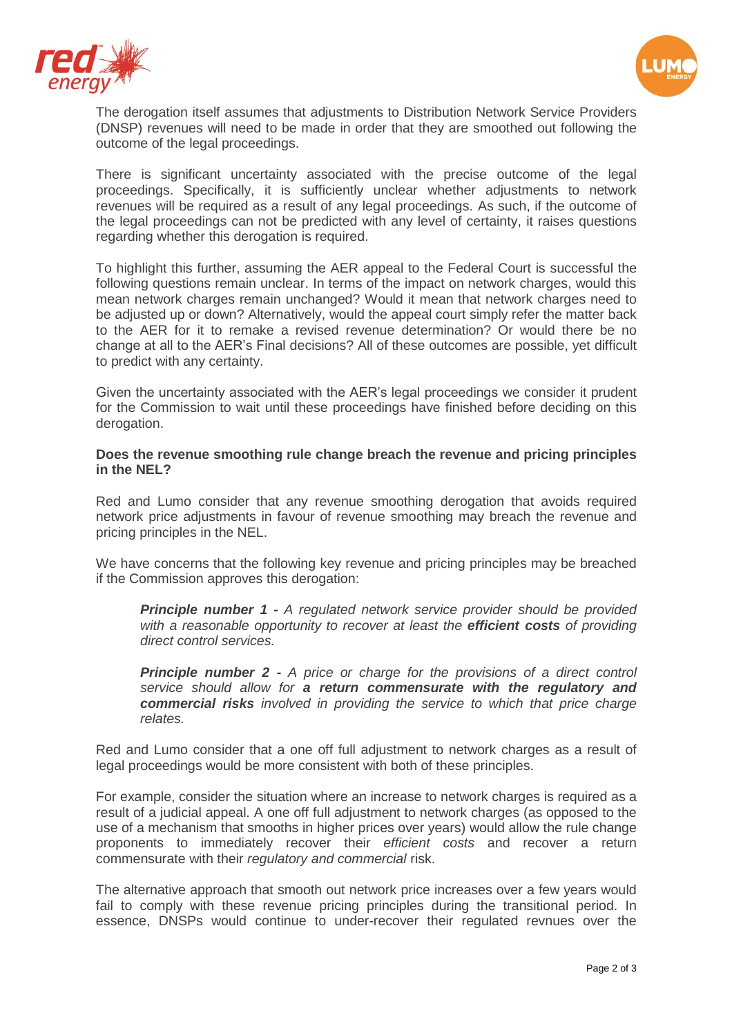



The derogation itself assumes that adjustments to Distribution Network Service Providers (DNSP) revenues will need to be made in order that they are smoothed out following the outcome of the legal proceedings.

There is significant uncertainty associated with the precise outcome of the legal proceedings. Specifically, it is sufficiently unclear whether adjustments to network revenues will be required as a result of any legal proceedings. As such, if the outcome of the legal proceedings can not be predicted with any level of certainty, it raises questions regarding whether this derogation is required.

To highlight this further, assuming the AER appeal to the Federal Court is successful the following questions remain unclear. In terms of the impact on network charges, would this mean network charges remain unchanged? Would it mean that network charges need to be adjusted up or down? Alternatively, would the appeal court simply refer the matter back to the AER for it to remake a revised revenue determination? Or would there be no change at all to the AER's Final decisions? All of these outcomes are possible, yet difficult to predict with any certainty.

Given the uncertainty associated with the AER's legal proceedings we consider it prudent for the Commission to wait until these proceedings have finished before deciding on this derogation.

**Does the revenue smoothing rule change breach the revenue and pricing principles in the NEL?**

Red and Lumo consider that any revenue smoothing derogation that avoids required network price adjustments in favour of revenue smoothing may breach the revenue and pricing principles in the NEL.

We have concerns that the following key revenue and pricing principles may be breached if the Commission approves this derogation:

*Principle number 1 - A regulated network service provider should be provided with a reasonable opportunity to recover at least the efficient costs of providing direct control services.*

*Principle number 2 - A price or charge for the provisions of a direct control service should allow for a return commensurate with the regulatory and commercial risks involved in providing the service to which that price charge relates.*

Red and Lumo consider that a one off full adjustment to network charges as a result of legal proceedings would be more consistent with both of these principles.

For example, consider the situation where an increase to network charges is required as a result of a judicial appeal. A one off full adjustment to network charges (as opposed to the use of a mechanism that smooths in higher prices over years) would allow the rule change proponents to immediately recover their *efficient costs* and recover a return commensurate with their *regulatory and commercial* risk.

The alternative approach that smooth out network price increases over a few years would fail to comply with these revenue pricing principles during the transitional period. In essence, DNSPs would continue to under-recover their regulated revnues over the